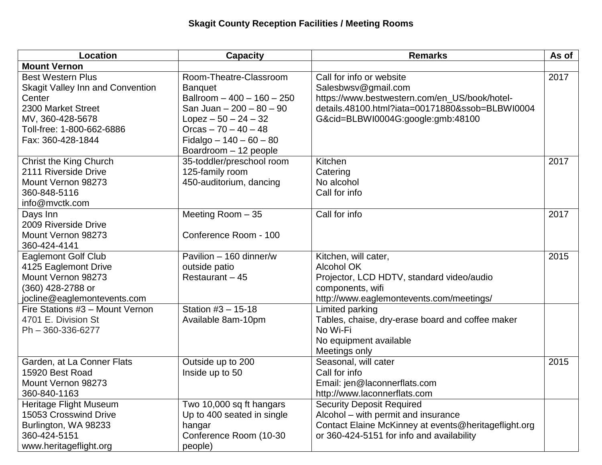| <b>Location</b>                                                                                                                                                    | <b>Capacity</b>                                                                                                                                                                                             | <b>Remarks</b>                                                                                                                                                                           | As of |
|--------------------------------------------------------------------------------------------------------------------------------------------------------------------|-------------------------------------------------------------------------------------------------------------------------------------------------------------------------------------------------------------|------------------------------------------------------------------------------------------------------------------------------------------------------------------------------------------|-------|
| <b>Mount Vernon</b>                                                                                                                                                |                                                                                                                                                                                                             |                                                                                                                                                                                          |       |
| <b>Best Western Plus</b><br>Skagit Valley Inn and Convention<br>Center<br>2300 Market Street<br>MV, 360-428-5678<br>Toll-free: 1-800-662-6886<br>Fax: 360-428-1844 | Room-Theatre-Classroom<br><b>Banquet</b><br>Ballroom $-400 - 160 - 250$<br>San Juan - 200 - 80 - 90<br>$Lopez - 50 - 24 - 32$<br>Orcas $-70 - 40 - 48$<br>Fidalgo $-140 - 60 - 80$<br>Boardroom - 12 people | Call for info or website<br>Salesbwsv@gmail.com<br>https://www.bestwestern.com/en_US/book/hotel-<br>details.48100.html?iata=00171880&ssob=BLBWI0004<br>G&cid=BLBWI0004G:google:gmb:48100 | 2017  |
| Christ the King Church<br>2111 Riverside Drive<br>Mount Vernon 98273<br>360-848-5116<br>info@mvctk.com                                                             | 35-toddler/preschool room<br>125-family room<br>450-auditorium, dancing                                                                                                                                     | Kitchen<br>Catering<br>No alcohol<br>Call for info                                                                                                                                       | 2017  |
| Days Inn<br>2009 Riverside Drive<br>Mount Vernon 98273<br>360-424-4141                                                                                             | Meeting Room - 35<br>Conference Room - 100                                                                                                                                                                  | Call for info                                                                                                                                                                            | 2017  |
| <b>Eaglemont Golf Club</b><br>4125 Eaglemont Drive<br>Mount Vernon 98273<br>(360) 428-2788 or<br>jocline@eaglemontevents.com                                       | Pavilion - 160 dinner/w<br>outside patio<br>Restaurant - 45                                                                                                                                                 | Kitchen, will cater,<br><b>Alcohol OK</b><br>Projector, LCD HDTV, standard video/audio<br>components, wifi<br>http://www.eaglemontevents.com/meetings/                                   | 2015  |
| Fire Stations #3 - Mount Vernon<br>4701 E. Division St<br>Ph - 360-336-6277                                                                                        | Station #3 - 15-18<br>Available 8am-10pm                                                                                                                                                                    | Limited parking<br>Tables, chaise, dry-erase board and coffee maker<br>No Wi-Fi<br>No equipment available<br>Meetings only                                                               |       |
| Garden, at La Conner Flats<br>15920 Best Road<br>Mount Vernon 98273<br>360-840-1163                                                                                | Outside up to 200<br>Inside up to 50                                                                                                                                                                        | Seasonal, will cater<br>Call for info<br>Email: jen@laconnerflats.com<br>http://www.laconnerflats.com                                                                                    | 2015  |
| Heritage Flight Museum<br>15053 Crosswind Drive<br>Burlington, WA 98233<br>360-424-5151<br>www.heritageflight.org                                                  | Two 10,000 sq ft hangars<br>Up to 400 seated in single<br>hangar<br>Conference Room (10-30<br>people)                                                                                                       | <b>Security Deposit Required</b><br>Alcohol – with permit and insurance<br>Contact Elaine McKinney at events@heritageflight.org<br>or 360-424-5151 for info and availability             |       |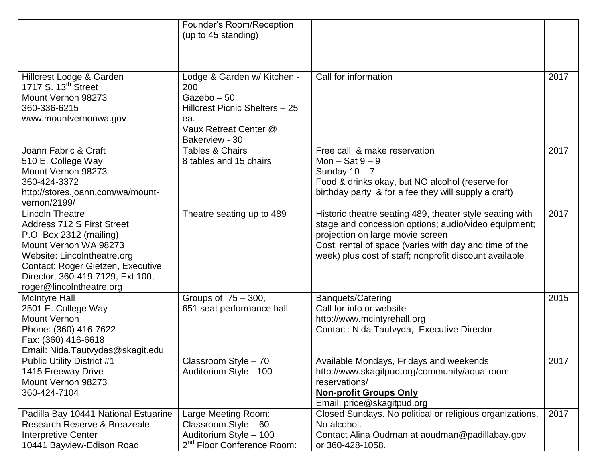|                                                                                                                                                                                                                                                     | Founder's Room/Reception<br>(up to 45 standing)                                                                                     |                                                                                                                                                                                                                                                                          |      |
|-----------------------------------------------------------------------------------------------------------------------------------------------------------------------------------------------------------------------------------------------------|-------------------------------------------------------------------------------------------------------------------------------------|--------------------------------------------------------------------------------------------------------------------------------------------------------------------------------------------------------------------------------------------------------------------------|------|
| Hillcrest Lodge & Garden<br>1717 S. 13 <sup>th</sup> Street<br>Mount Vernon 98273<br>360-336-6215<br>www.mountvernonwa.gov                                                                                                                          | Lodge & Garden w/ Kitchen -<br>200<br>Gazebo-50<br>Hillcrest Picnic Shelters - 25<br>ea.<br>Vaux Retreat Center @<br>Bakerview - 30 | Call for information                                                                                                                                                                                                                                                     | 2017 |
| Joann Fabric & Craft<br>510 E. College Way<br>Mount Vernon 98273<br>360-424-3372<br>http://stores.joann.com/wa/mount-<br>vernon/2199/                                                                                                               | <b>Tables &amp; Chairs</b><br>8 tables and 15 chairs                                                                                | Free call & make reservation<br>Mon $-$ Sat $9-9$<br>Sunday $10 - 7$<br>Food & drinks okay, but NO alcohol (reserve for<br>birthday party & for a fee they will supply a craft)                                                                                          | 2017 |
| <b>Lincoln Theatre</b><br><b>Address 712 S First Street</b><br>P.O. Box 2312 (mailing)<br>Mount Vernon WA 98273<br>Website: LincoIntheatre.org<br>Contact: Roger Gietzen, Executive<br>Director, 360-419-7129, Ext 100,<br>roger@lincoIntheatre.org | Theatre seating up to 489                                                                                                           | Historic theatre seating 489, theater style seating with<br>stage and concession options; audio/video equipment;<br>projection on large movie screen<br>Cost: rental of space (varies with day and time of the<br>week) plus cost of staff; nonprofit discount available | 2017 |
| <b>McIntyre Hall</b><br>2501 E. College Way<br><b>Mount Vernon</b><br>Phone: (360) 416-7622<br>Fax: (360) 416-6618<br>Email: Nida.Tautvydas@skagit.edu                                                                                              | Groups of 75 - 300,<br>651 seat performance hall                                                                                    | <b>Banquets/Catering</b><br>Call for info or website<br>http://www.mcintyrehall.org<br>Contact: Nida Tautvyda, Executive Director                                                                                                                                        | 2015 |
| <b>Public Utility District #1</b><br>1415 Freeway Drive<br>Mount Vernon 98273<br>360-424-7104                                                                                                                                                       | Classroom Style - 70<br>Auditorium Style - 100                                                                                      | Available Mondays, Fridays and weekends<br>http://www.skagitpud.org/community/aqua-room-<br>reservations/<br><b>Non-profit Groups Only</b><br>Email: price@skagitpud.org                                                                                                 | 2017 |
| Padilla Bay 10441 National Estuarine<br>Research Reserve & Breazeale<br>Interpretive Center<br>10441 Bayview-Edison Road                                                                                                                            | Large Meeting Room:<br>Classroom Style - 60<br>Auditorium Style - 100<br>2 <sup>nd</sup> Floor Conference Room:                     | Closed Sundays. No political or religious organizations.<br>No alcohol.<br>Contact Alina Oudman at aoudman@padillabay.gov<br>or 360-428-1058.                                                                                                                            | 2017 |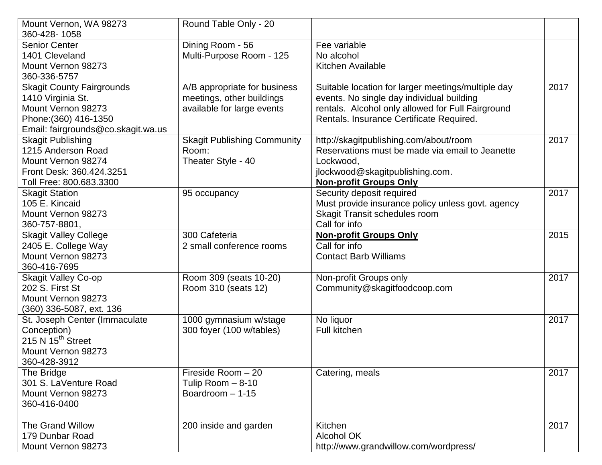| Mount Vernon, WA 98273             | Round Table Only - 20              |                                                    |      |
|------------------------------------|------------------------------------|----------------------------------------------------|------|
| 360-428-1058                       |                                    |                                                    |      |
| <b>Senior Center</b>               | Dining Room - 56                   | Fee variable                                       |      |
| 1401 Cleveland                     | Multi-Purpose Room - 125           | No alcohol                                         |      |
| Mount Vernon 98273                 |                                    | Kitchen Available                                  |      |
| 360-336-5757                       |                                    |                                                    |      |
| <b>Skagit County Fairgrounds</b>   | A/B appropriate for business       | Suitable location for larger meetings/multiple day | 2017 |
| 1410 Virginia St.                  | meetings, other buildings          | events. No single day individual building          |      |
| Mount Vernon 98273                 | available for large events         | rentals. Alcohol only allowed for Full Fairground  |      |
| Phone: (360) 416-1350              |                                    | Rentals. Insurance Certificate Required.           |      |
| Email: fairgrounds@co.skagit.wa.us |                                    |                                                    |      |
| <b>Skagit Publishing</b>           | <b>Skagit Publishing Community</b> | http://skagitpublishing.com/about/room             | 2017 |
| 1215 Anderson Road                 | Room:                              | Reservations must be made via email to Jeanette    |      |
| Mount Vernon 98274                 | Theater Style - 40                 | Lockwood,                                          |      |
| Front Desk: 360.424.3251           |                                    | jlockwood@skagitpublishing.com.                    |      |
| Toll Free: 800.683.3300            |                                    | <b>Non-profit Groups Only</b>                      |      |
| <b>Skagit Station</b>              | 95 occupancy                       | Security deposit required                          | 2017 |
| 105 E. Kincaid                     |                                    | Must provide insurance policy unless govt. agency  |      |
| Mount Vernon 98273                 |                                    | <b>Skagit Transit schedules room</b>               |      |
| 360-757-8801,                      |                                    | Call for info                                      |      |
| <b>Skagit Valley College</b>       | 300 Cafeteria                      | <b>Non-profit Groups Only</b>                      | 2015 |
| 2405 E. College Way                | 2 small conference rooms           | Call for info                                      |      |
| Mount Vernon 98273                 |                                    | <b>Contact Barb Williams</b>                       |      |
| 360-416-7695                       |                                    |                                                    |      |
| <b>Skagit Valley Co-op</b>         | Room 309 (seats 10-20)             | Non-profit Groups only                             | 2017 |
| 202 S. First St                    | Room 310 (seats 12)                | Community@skagitfoodcoop.com                       |      |
| Mount Vernon 98273                 |                                    |                                                    |      |
| (360) 336-5087, ext. 136           |                                    |                                                    |      |
| St. Joseph Center (Immaculate      | 1000 gymnasium w/stage             | No liquor                                          | 2017 |
| Conception)                        | 300 foyer (100 w/tables)           | <b>Full kitchen</b>                                |      |
| 215 N $15th$ Street                |                                    |                                                    |      |
| Mount Vernon 98273                 |                                    |                                                    |      |
| 360-428-3912                       |                                    |                                                    |      |
| The Bridge                         | Fireside Room - 20                 | Catering, meals                                    | 2017 |
| 301 S. LaVenture Road              | Tulip Room - 8-10                  |                                                    |      |
| Mount Vernon 98273                 | Boardroom - 1-15                   |                                                    |      |
| 360-416-0400                       |                                    |                                                    |      |
|                                    |                                    |                                                    |      |
| The Grand Willow                   | 200 inside and garden              | Kitchen                                            | 2017 |
| 179 Dunbar Road                    |                                    | <b>Alcohol OK</b>                                  |      |
| Mount Vernon 98273                 |                                    | http://www.grandwillow.com/wordpress/              |      |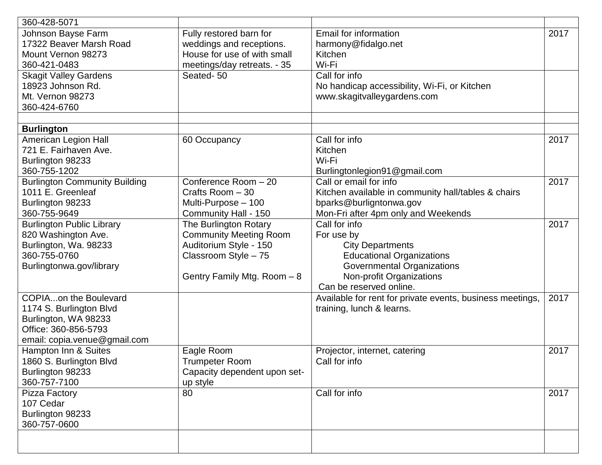| 360-428-5071                         |                                  |                                                           |      |
|--------------------------------------|----------------------------------|-----------------------------------------------------------|------|
| Johnson Bayse Farm                   | Fully restored barn for          | Email for information                                     | 2017 |
| 17322 Beaver Marsh Road              | weddings and receptions.         | harmony@fidalgo.net                                       |      |
| Mount Vernon 98273                   | House for use of with small      | Kitchen                                                   |      |
| 360-421-0483                         | meetings/day retreats. - 35      | Wi-Fi                                                     |      |
| <b>Skagit Valley Gardens</b>         | Seated-50                        | Call for info                                             |      |
| 18923 Johnson Rd.                    |                                  | No handicap accessibility, Wi-Fi, or Kitchen              |      |
| Mt. Vernon 98273                     |                                  | www.skagitvalleygardens.com                               |      |
| 360-424-6760                         |                                  |                                                           |      |
|                                      |                                  |                                                           |      |
| <b>Burlington</b>                    |                                  |                                                           |      |
| American Legion Hall                 | 60 Occupancy                     | Call for info                                             | 2017 |
| 721 E. Fairhaven Ave.                |                                  | Kitchen                                                   |      |
| Burlington 98233                     |                                  | Wi-Fi                                                     |      |
| 360-755-1202                         |                                  | Burlingtonlegion91@gmail.com                              |      |
| <b>Burlington Community Building</b> | Conference Room $-\overline{20}$ | Call or email for info                                    | 2017 |
| 1011 E. Greenleaf                    | Crafts Room - 30                 | Kitchen available in community hall/tables & chairs       |      |
| Burlington 98233                     | Multi-Purpose - 100              | bparks@burligntonwa.gov                                   |      |
| 360-755-9649                         | Community Hall - 150             | Mon-Fri after 4pm only and Weekends                       |      |
| <b>Burlington Public Library</b>     | The Burlington Rotary            | Call for info                                             | 2017 |
| 820 Washington Ave.                  | <b>Community Meeting Room</b>    | For use by                                                |      |
| Burlington, Wa. 98233                | Auditorium Style - 150           | <b>City Departments</b>                                   |      |
| 360-755-0760                         | Classroom Style - 75             | <b>Educational Organizations</b>                          |      |
| Burlingtonwa.gov/library             |                                  | <b>Governmental Organizations</b>                         |      |
|                                      | Gentry Family Mtg. Room - 8      | Non-profit Organizations                                  |      |
|                                      |                                  | Can be reserved online.                                   |      |
| <b>COPIAon the Boulevard</b>         |                                  | Available for rent for private events, business meetings, | 2017 |
| 1174 S. Burlington Blvd              |                                  | training, lunch & learns.                                 |      |
| Burlington, WA 98233                 |                                  |                                                           |      |
| Office: 360-856-5793                 |                                  |                                                           |      |
| email: copia.venue@gmail.com         |                                  |                                                           |      |
| Hampton Inn & Suites                 | Eagle Room                       | Projector, internet, catering                             | 2017 |
| 1860 S. Burlington Blvd              | <b>Trumpeter Room</b>            | Call for info                                             |      |
| Burlington 98233                     | Capacity dependent upon set-     |                                                           |      |
| 360-757-7100                         | up style                         |                                                           |      |
| Pizza Factory                        | 80                               | Call for info                                             | 2017 |
| 107 Cedar                            |                                  |                                                           |      |
| Burlington 98233                     |                                  |                                                           |      |
| 360-757-0600                         |                                  |                                                           |      |
|                                      |                                  |                                                           |      |
|                                      |                                  |                                                           |      |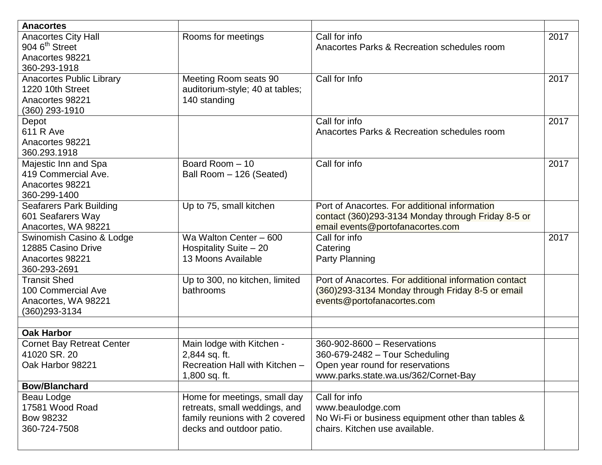| <b>Anacortes</b>                                                                            |                                                                                                                             |                                                                                                                                           |      |
|---------------------------------------------------------------------------------------------|-----------------------------------------------------------------------------------------------------------------------------|-------------------------------------------------------------------------------------------------------------------------------------------|------|
| <b>Anacortes City Hall</b><br>904 6 <sup>th</sup> Street<br>Anacortes 98221<br>360-293-1918 | Rooms for meetings                                                                                                          | Call for info<br>Anacortes Parks & Recreation schedules room                                                                              | 2017 |
| <b>Anacortes Public Library</b><br>1220 10th Street<br>Anacortes 98221<br>(360) 293-1910    | Meeting Room seats 90<br>auditorium-style; 40 at tables;<br>140 standing                                                    | Call for Info                                                                                                                             | 2017 |
| Depot<br>611 R Ave<br>Anacortes 98221<br>360.293.1918                                       |                                                                                                                             | Call for info<br>Anacortes Parks & Recreation schedules room                                                                              | 2017 |
| Majestic Inn and Spa<br>419 Commercial Ave.<br>Anacortes 98221<br>360-299-1400              | Board Room - 10<br>Ball Room - 126 (Seated)                                                                                 | Call for info                                                                                                                             | 2017 |
| <b>Seafarers Park Building</b><br>601 Seafarers Way<br>Anacortes, WA 98221                  | Up to 75, small kitchen                                                                                                     | Port of Anacortes. For additional information<br>contact (360)293-3134 Monday through Friday 8-5 or<br>email events@portofanacortes.com   |      |
| Swinomish Casino & Lodge<br>12885 Casino Drive<br>Anacortes 98221<br>360-293-2691           | Wa Walton Center - 600<br>Hospitality Suite - 20<br>13 Moons Available                                                      | Call for info<br>Catering<br>Party Planning                                                                                               | 2017 |
| <b>Transit Shed</b><br>100 Commercial Ave<br>Anacortes, WA 98221<br>(360)293-3134           | Up to 300, no kitchen, limited<br>bathrooms                                                                                 | Port of Anacortes. For additional information contact<br>(360) 293-3134 Monday through Friday 8-5 or email<br>events@portofanacortes.com  |      |
| <b>Oak Harbor</b>                                                                           |                                                                                                                             |                                                                                                                                           |      |
| <b>Cornet Bay Retreat Center</b><br>41020 SR. 20<br>Oak Harbor 98221                        | Main lodge with Kitchen -<br>2,844 sq. ft.<br>Recreation Hall with Kitchen -<br>1,800 sq. ft.                               | 360-902-8600 - Reservations<br>360-679-2482 - Tour Scheduling<br>Open year round for reservations<br>www.parks.state.wa.us/362/Cornet-Bay |      |
| <b>Bow/Blanchard</b>                                                                        |                                                                                                                             |                                                                                                                                           |      |
| Beau Lodge<br>17581 Wood Road<br>Bow 98232<br>360-724-7508                                  | Home for meetings, small day<br>retreats, small weddings, and<br>family reunions with 2 covered<br>decks and outdoor patio. | Call for info<br>www.beaulodge.com<br>No Wi-Fi or business equipment other than tables &<br>chairs. Kitchen use available.                |      |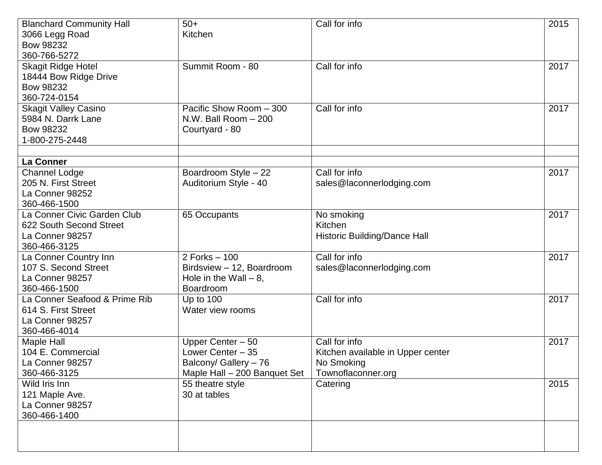| <b>Blanchard Community Hall</b> | $50+$                               | Call for info                     | 2015 |
|---------------------------------|-------------------------------------|-----------------------------------|------|
| 3066 Legg Road                  | Kitchen                             |                                   |      |
| <b>Bow 98232</b>                |                                     |                                   |      |
| 360-766-5272                    |                                     |                                   |      |
| <b>Skagit Ridge Hotel</b>       | Summit Room - 80                    | Call for info                     | 2017 |
| 18444 Bow Ridge Drive           |                                     |                                   |      |
| <b>Bow 98232</b>                |                                     |                                   |      |
| 360-724-0154                    |                                     |                                   |      |
| <b>Skagit Valley Casino</b>     | Pacific Show Room $-\overline{300}$ | Call for info                     | 2017 |
| 5984 N. Darrk Lane              | N.W. Ball Room - 200                |                                   |      |
| <b>Bow 98232</b>                | Courtyard - 80                      |                                   |      |
| 1-800-275-2448                  |                                     |                                   |      |
|                                 |                                     |                                   |      |
| <b>La Conner</b>                |                                     |                                   |      |
| <b>Channel Lodge</b>            | Boardroom Style - 22                | Call for info                     | 2017 |
| 205 N. First Street             | Auditorium Style - 40               | sales@laconnerlodging.com         |      |
| La Conner 98252                 |                                     |                                   |      |
| 360-466-1500                    |                                     |                                   |      |
| La Conner Civic Garden Club     | 65 Occupants                        | No smoking                        | 2017 |
| 622 South Second Street         |                                     | Kitchen                           |      |
| La Conner 98257                 |                                     | Historic Building/Dance Hall      |      |
| 360-466-3125                    |                                     |                                   |      |
| La Conner Country Inn           | 2 Forks - 100                       | Call for info                     | 2017 |
| 107 S. Second Street            | Birdsview - 12, Boardroom           | sales@laconnerlodging.com         |      |
| La Conner 98257                 | Hole in the Wall $-8$ ,             |                                   |      |
| 360-466-1500                    | Boardroom                           |                                   |      |
| La Conner Seafood & Prime Rib   | Up to 100                           | Call for info                     | 2017 |
| 614 S. First Street             | Water view rooms                    |                                   |      |
| La Conner 98257                 |                                     |                                   |      |
| 360-466-4014                    |                                     |                                   |      |
| Maple Hall                      | Upper Center - 50                   | Call for info                     | 2017 |
| 104 E. Commercial               | Lower Center - 35                   | Kitchen available in Upper center |      |
| La Conner 98257                 | Balcony/ Gallery - 76               | No Smoking                        |      |
| 360-466-3125                    | Maple Hall - 200 Banquet Set        | Townoflaconner.org                |      |
| Wild Iris Inn                   | 55 theatre style                    | Catering                          | 2015 |
| 121 Maple Ave.                  | 30 at tables                        |                                   |      |
| La Conner 98257                 |                                     |                                   |      |
| 360-466-1400                    |                                     |                                   |      |
|                                 |                                     |                                   |      |
|                                 |                                     |                                   |      |
|                                 |                                     |                                   |      |